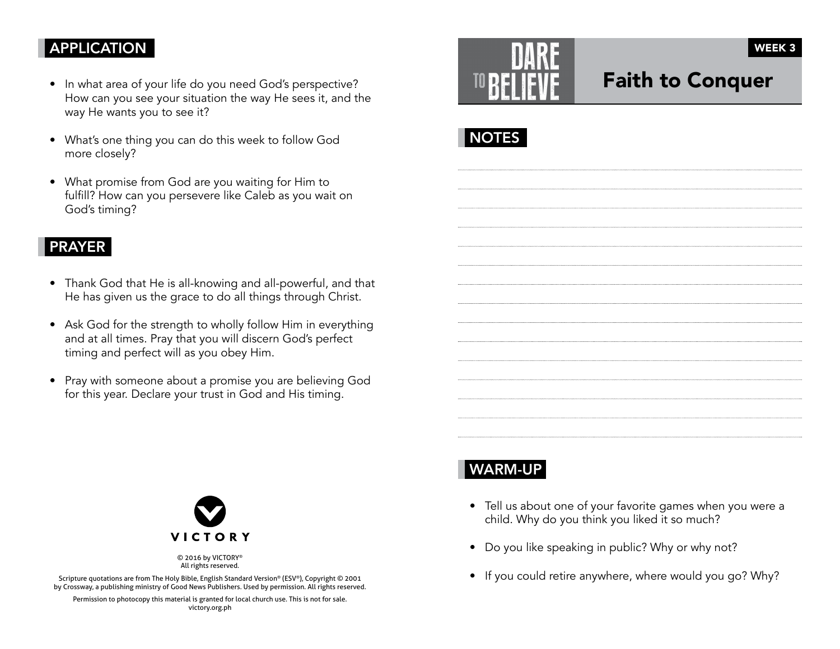### **APPLICATION**

- In what area of your life do you need God's perspective? How can you see your situation the way He sees it, and the way He wants you to see it?
- What's one thing you can do this week to follow God more closely?
- What promise from God are you waiting for Him to fulfill? How can you persevere like Caleb as you wait on God's timing?

### PRAYER

- Thank God that He is all-knowing and all-powerful, and that He has given us the grace to do all things through Christ.
- Ask God for the strength to wholly follow Him in everything and at all times. Pray that you will discern God's perfect timing and perfect will as you obey Him.
- Pray with someone about a promise you are believing God for this year. Declare your trust in God and His timing.

|                                                                           | i<br>ý<br>۰<br>ì<br>٠<br>ï<br>ч.<br>ì.<br>×<br>в<br>s<br>1<br>×<br>ł<br>ć | ż<br>×<br>ç<br>ł<br>×<br>Ξ<br>٠<br>ï<br>į<br>ĕ<br>ì                              |
|---------------------------------------------------------------------------|---------------------------------------------------------------------------|----------------------------------------------------------------------------------|
| ī<br>ı<br>$\sim$<br>i<br>ł<br>×<br>ı<br>π<br>ŀ<br>ð<br>ì<br>ò,<br>s<br>ó. | r.<br>ź<br>h.<br>ı.<br>í<br>ï<br>ž                                        | Ξ<br>٠<br>×<br>x<br>ś<br>ł<br>٠<br>à<br>ģ<br>×<br>÷.<br>$\overline{\mathcal{L}}$ |

# Faith to Conquer

WEEK 3





© 2016 by VICTORY® All rights reserved.

Scripture quotations are from The Holy Bible, English Standard Version® (ESV®), Copyright © 2001 by Crossway, a publishing ministry of Good News Publishers. Used by permission. All rights reserved.

Permission to photocopy this material is granted for local church use. This is not for sale. victory.org.ph

# WARM-UP

- Tell us about one of your favorite games when you were a child. Why do you think you liked it so much?
- Do you like speaking in public? Why or why not?
- If you could retire anywhere, where would you go? Why?